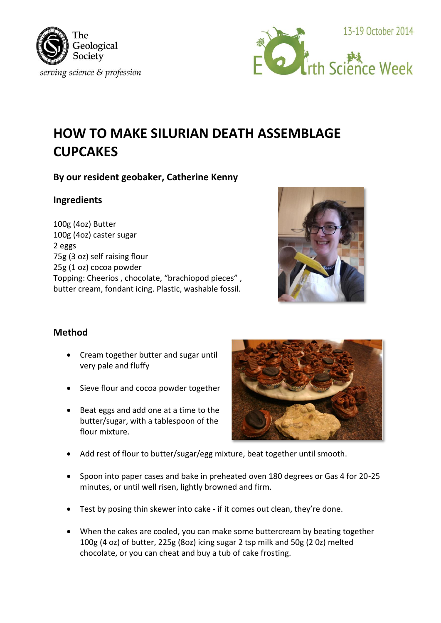



# **HOW TO MAKE SILURIAN DEATH ASSEMBLAGE CUPCAKES**

# **By our resident geobaker, Catherine Kenny**

#### **Ingredients**

100g (4oz) Butter 100g (4oz) caster sugar 2 eggs 75g (3 oz) self raising flour 25g (1 oz) cocoa powder Topping: Cheerios , chocolate, "brachiopod pieces" , butter cream, fondant icing. Plastic, washable fossil.



## **Method**

- Cream together butter and sugar until very pale and fluffy
- Sieve flour and cocoa powder together
- Beat eggs and add one at a time to the butter/sugar, with a tablespoon of the flour mixture.



- Add rest of flour to butter/sugar/egg mixture, beat together until smooth.
- Spoon into paper cases and bake in preheated oven 180 degrees or Gas 4 for 20-25 minutes, or until well risen, lightly browned and firm.
- Test by posing thin skewer into cake if it comes out clean, they're done.
- When the cakes are cooled, you can make some buttercream by beating together 100g (4 oz) of butter, 225g (8oz) icing sugar 2 tsp milk and 50g (2 0z) melted chocolate, or you can cheat and buy a tub of cake frosting.